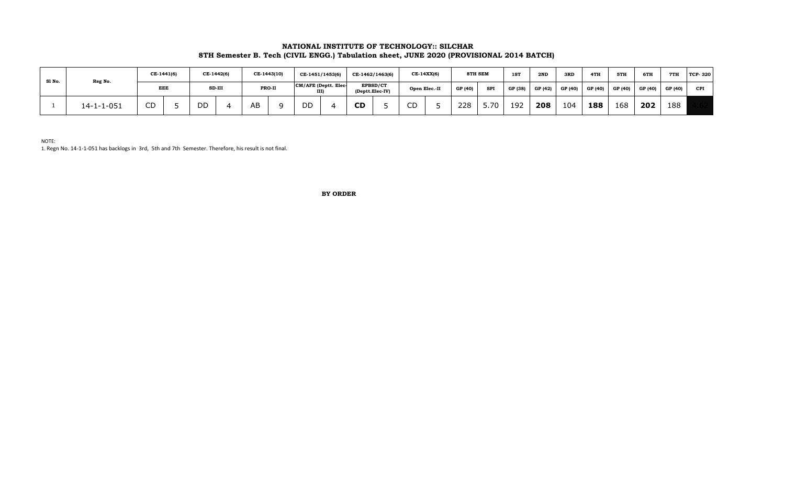# **NATIONAL INSTITUTE OF TECHNOLOGY:: SILCHAR 8TH Semester B. Tech (CIVIL ENGG.) Tabulation sheet, JUNE 2020 (PROVISIONAL 2014 BATCH)**

| Sl No. | Reg No.            | CE-1441(6)   |  | CE-1442(6) |  | CE-1443(10) |  | CE-1451/1453(6)      |  | CE-1462/1463(6)                    |  | CE-14XX(6)    |  | <b>8TH SEM</b> |            | <b>1ST</b> | 2ND     | 3RD     | 4TH     | 5TH     | 6TH     | 7TH     | <b>TCP-320</b> |
|--------|--------------------|--------------|--|------------|--|-------------|--|----------------------|--|------------------------------------|--|---------------|--|----------------|------------|------------|---------|---------|---------|---------|---------|---------|----------------|
|        |                    | <b>EEE</b>   |  | SD-III     |  | PRO-II      |  | CM/AFE (Deptt. Elec- |  | <b>EPBSD/CT</b><br>(Deptt.Elec-IV) |  | Open Elec.-II |  | GP (40)        | <b>SPI</b> | GP (38)    | GP (42) | GP (40) | GP (40) | GP (40) | GP (40) | GP (40) | <b>CPI</b>     |
|        | $14 - 1 - 1 - 051$ | $\sim$<br>◡◡ |  | DD         |  | AΒ          |  | $\sim$ $\sim$        |  | <b>CD</b>                          |  | $\sim$<br>لاب |  | 228            | 5.70       | 192        | 208     | 104     | 188     | 168     | 202     | 188     |                |

NOTE:

1. Regn No. 14-1-1-051 has backlogs in 3rd, 5th and 7th Semester. Therefore, his result is not final.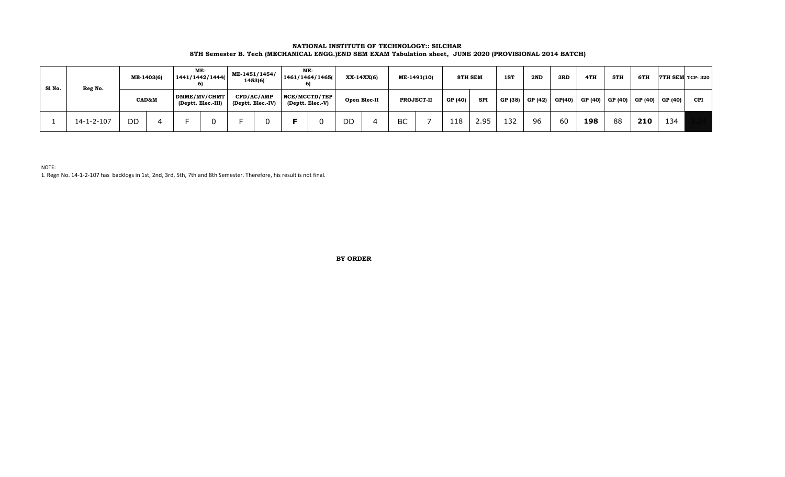### **NATIONAL INSTITUTE OF TECHNOLOGY:: SILCHAR 8TH Semester B. Tech (MECHANICAL ENGG.)END SEM EXAM Tabulation sheet, JUNE 2020 (PROVISIONAL 2014 BATCH)**

| Sl No. | Reg No.            | ME-1403(6) |  | ME-<br>1441/1442/1444(             |  | ME-1451/1454/<br>1453(6)        |  | ME-<br>1461/1464/1465(            |  | XX-14XX(6)   |  | ME-1491(10)       |  | 8TH SEM |            | 1ST     | 2ND     | 3RD    | 4TH                                                         | 5TH | 6TH |     | <b>7TH SEM TCP-320</b> |
|--------|--------------------|------------|--|------------------------------------|--|---------------------------------|--|-----------------------------------|--|--------------|--|-------------------|--|---------|------------|---------|---------|--------|-------------------------------------------------------------|-----|-----|-----|------------------------|
|        |                    | CAD&M      |  | DMME/MV/CHMT<br>(Deptt. Elec.-III) |  | CFD/AC/AMP<br>(Deptt. Elec.-IV) |  | NCE/MCCTD/TEP<br>(Deptt. Elec.-V) |  | Open Elec-II |  | <b>PROJECT-II</b> |  | GP (40) | <b>SPI</b> | GP (38) | GP (42) | GP(40) | $\mid$ GP (40) $\mid$ GP (40) $\mid$ GP (40) $\mid$ GP (40) |     |     |     | $CPI$                  |
|        | $14 - 1 - 2 - 107$ | DD         |  |                                    |  |                                 |  |                                   |  | DD           |  | <b>BC</b>         |  | 118     | 2.95       | 132     | 96      | 60     | 198                                                         | 88  | 210 | 134 |                        |

NOTE:

1. Regn No. 14-1-2-107 has backlogs in 1st, 2nd, 3rd, 5th, 7th and 8th Semester. Therefore, his result is not final.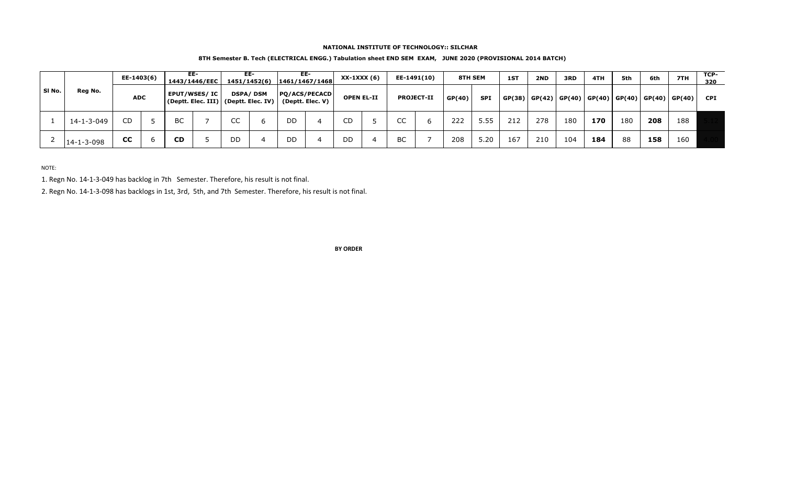#### **NATIONAL INSTITUTE OF TECHNOLOGY:: SILCHAR**

## **8TH Semester B. Tech (ELECTRICAL ENGG.) Tabulation sheet END SEM EXAM, JUNE 2020 (PROVISIONAL 2014 BATCH)**

| SI No. |                    |            | EE-1403(6) |                                                                         | EE-<br>1443/1446/EEC |                 | EE- |                                          | EE-<br>1451/1452(6) 1461/1467/1468 |                   | $XX-1XXX(6)$ |                   | EE-1491(10) |        | 8TH SEM    |        | 2ND | 3RD | 4TH                  | 5th | 6th                  | 7TH | TCP-<br>320 |
|--------|--------------------|------------|------------|-------------------------------------------------------------------------|----------------------|-----------------|-----|------------------------------------------|------------------------------------|-------------------|--------------|-------------------|-------------|--------|------------|--------|-----|-----|----------------------|-----|----------------------|-----|-------------|
|        | Reg No.            | <b>ADC</b> |            | <b>EPUT/WSES/IC</b><br>$ $ (Deptt. Elec. III) $ $ (Deptt. Elec. IV) $ $ |                      | <b>DSPA/DSM</b> |     | <b>PQ/ACS/PECACD</b><br>(Deptt. Elec. V) |                                    | <b>OPEN EL-II</b> |              | <b>PROJECT-II</b> |             | GP(40) | <b>SPI</b> | GP(38) |     |     | GP(42) GP(40) GP(40) |     | GP(40) GP(40) GP(40) |     | <b>CPI</b>  |
|        | 14-1-3-049         | CD         |            | <b>BC</b>                                                               |                      | CC              |     | DD.                                      |                                    | CD                |              | CC                |             | 222    | 5.55       | 212    | 278 | 180 | 170                  | 180 | 208                  | 188 |             |
|        | $14 - 1 - 3 - 098$ | <b>CC</b>  |            | <b>CD</b>                                                               |                      | DD              |     | DD                                       |                                    | DD                |              | BC                |             | 208    | 5.20       | 167    | 210 | 104 | 184                  | 88  | 158                  | 160 |             |

NOTE:

1. Regn No. 14-1-3-049 has backlog in 7th Semester. Therefore, his result is not final.

2. Regn No. 14-1-3-098 has backlogs in 1st, 3rd, 5th, and 7th Semester. Therefore, his result is not final.